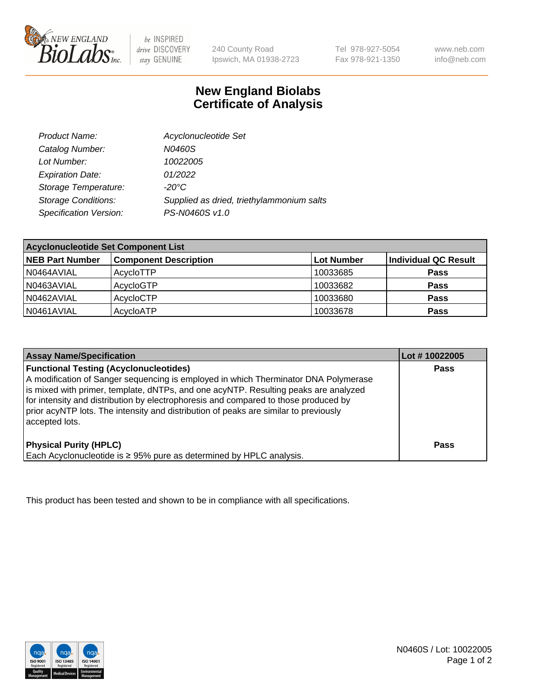

be INSPIRED drive DISCOVERY stay GENUINE

240 County Road Ipswich, MA 01938-2723 Tel 978-927-5054 Fax 978-921-1350 www.neb.com info@neb.com

## **New England Biolabs Certificate of Analysis**

| Product Name:              | Acyclonucleotide Set                      |
|----------------------------|-------------------------------------------|
| Catalog Number:            | N0460S                                    |
| Lot Number:                | 10022005                                  |
| <b>Expiration Date:</b>    | 01/2022                                   |
| Storage Temperature:       | $-20^{\circ}$ C                           |
| <b>Storage Conditions:</b> | Supplied as dried, triethylammonium salts |
| Specification Version:     | PS-N0460S v1.0                            |

| <b>Acyclonucleotide Set Component List</b> |                              |            |                      |  |
|--------------------------------------------|------------------------------|------------|----------------------|--|
| <b>NEB Part Number</b>                     | <b>Component Description</b> | Lot Number | Individual QC Result |  |
| N0464AVIAL                                 | AcycloTTP                    | 10033685   | <b>Pass</b>          |  |
| N0463AVIAL                                 | AcycloGTP                    | 10033682   | <b>Pass</b>          |  |
| N0462AVIAL                                 | AcycloCTP                    | 10033680   | <b>Pass</b>          |  |
| N0461AVIAL                                 | AcycloATP                    | 10033678   | <b>Pass</b>          |  |

| <b>Assay Name/Specification</b>                                                                                                                                                                                                                                                                                                                                                                                              | Lot #10022005 |
|------------------------------------------------------------------------------------------------------------------------------------------------------------------------------------------------------------------------------------------------------------------------------------------------------------------------------------------------------------------------------------------------------------------------------|---------------|
| <b>Functional Testing (Acyclonucleotides)</b><br>A modification of Sanger sequencing is employed in which Therminator DNA Polymerase<br>is mixed with primer, template, dNTPs, and one acyNTP. Resulting peaks are analyzed<br>for intensity and distribution by electrophoresis and compared to those produced by<br>prior acyNTP lots. The intensity and distribution of peaks are similar to previously<br>accepted lots. | <b>Pass</b>   |
| <b>Physical Purity (HPLC)</b><br>Each Acyclonucleotide is ≥ 95% pure as determined by HPLC analysis.                                                                                                                                                                                                                                                                                                                         | Pass          |

This product has been tested and shown to be in compliance with all specifications.